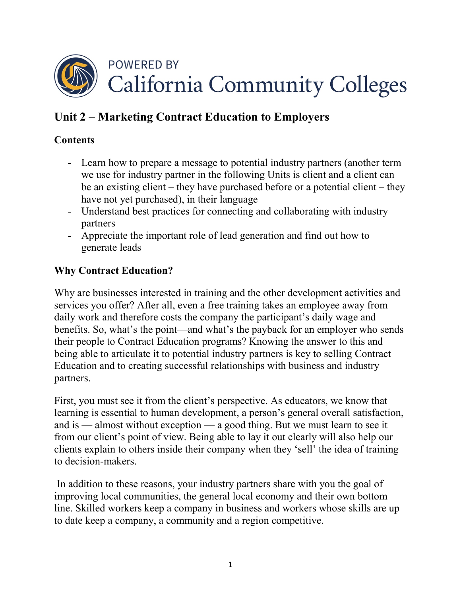

# **Unit 2 – Marketing Contract Education to Employers**

# **Contents**

- Learn how to prepare a message to potential industry partners (another term we use for industry partner in the following Units is client and a client can be an existing client – they have purchased before or a potential client – they have not yet purchased), in their language
- Understand best practices for connecting and collaborating with industry partners
- Appreciate the important role of lead generation and find out how to generate leads

# **Why Contract Education?**

Why are businesses interested in training and the other development activities and services you offer? After all, even a free training takes an employee away from daily work and therefore costs the company the participant's daily wage and benefits. So, what's the point—and what's the payback for an employer who sends their people to Contract Education programs? Knowing the answer to this and being able to articulate it to potential industry partners is key to selling Contract Education and to creating successful relationships with business and industry partners.

First, you must see it from the client's perspective. As educators, we know that learning is essential to human development, a person's general overall satisfaction, and is — almost without exception — a good thing. But we must learn to see it from our client's point of view. Being able to lay it out clearly will also help our clients explain to others inside their company when they 'sell' the idea of training to decision-makers.

In addition to these reasons, your industry partners share with you the goal of improving local communities, the general local economy and their own bottom line. Skilled workers keep a company in business and workers whose skills are up to date keep a company, a community and a region competitive.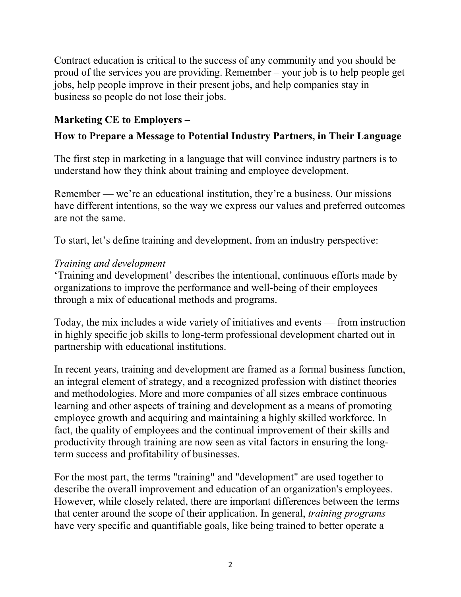Contract education is critical to the success of any community and you should be proud of the services you are providing. Remember – your job is to help people get jobs, help people improve in their present jobs, and help companies stay in business so people do not lose their jobs.

# **Marketing CE to Employers –**

# **How to Prepare a Message to Potential Industry Partners, in Their Language**

The first step in marketing in a language that will convince industry partners is to understand how they think about training and employee development.

Remember — we're an educational institution, they're a business. Our missions have different intentions, so the way we express our values and preferred outcomes are not the same.

To start, let's define training and development, from an industry perspective:

#### *Training and development*

'Training and development' describes the intentional, continuous efforts made by organizations to improve the performance and well-being of their employees through a mix of educational methods and programs.

Today, the mix includes a wide variety of initiatives and events — from instruction in highly specific job skills to long-term professional development charted out in partnership with educational institutions.

In recent years, training and development are framed as a formal business function, an integral element of strategy, and a recognized profession with distinct theories and methodologies. More and more companies of all sizes embrace continuous learning and other aspects of training and development as a means of promoting employee growth and acquiring and maintaining a highly skilled workforce. In fact, the quality of employees and the continual improvement of their skills and productivity through training are now seen as vital factors in ensuring the longterm success and profitability of businesses.

For the most part, the terms "training" and "development" are used together to describe the overall improvement and education of an organization's employees. However, while closely related, there are important differences between the terms that center around the scope of their application. In general, *training programs* have very specific and quantifiable goals, like being trained to better operate a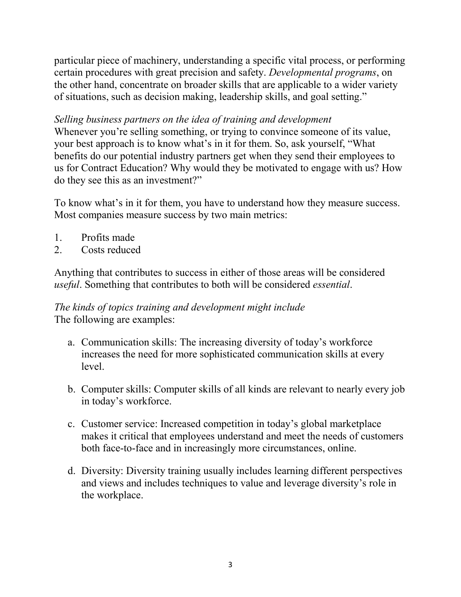particular piece of machinery, understanding a specific vital process, or performing certain procedures with great precision and safety. *Developmental programs*, on the other hand, concentrate on broader skills that are applicable to a wider variety of situations, such as decision making, leadership skills, and goal setting."

# *Selling business partners on the idea of training and development*

Whenever you're selling something, or trying to convince someone of its value, your best approach is to know what's in it for them. So, ask yourself, "What benefits do our potential industry partners get when they send their employees to us for Contract Education? Why would they be motivated to engage with us? How do they see this as an investment?"

To know what's in it for them, you have to understand how they measure success. Most companies measure success by two main metrics:

- 1. Profits made
- 2. Costs reduced

Anything that contributes to success in either of those areas will be considered *useful*. Something that contributes to both will be considered *essential*.

# *The kinds of topics training and development might include* The following are examples:

- a. Communication skills: The increasing diversity of today's workforce increases the need for more sophisticated communication skills at every level.
- b. Computer skills: Computer skills of all kinds are relevant to nearly every job in today's workforce.
- c. Customer service: Increased competition in today's global marketplace makes it critical that employees understand and meet the needs of customers both face-to-face and in increasingly more circumstances, online.
- d. Diversity: Diversity training usually includes learning different perspectives and views and includes techniques to value and leverage diversity's role in the workplace.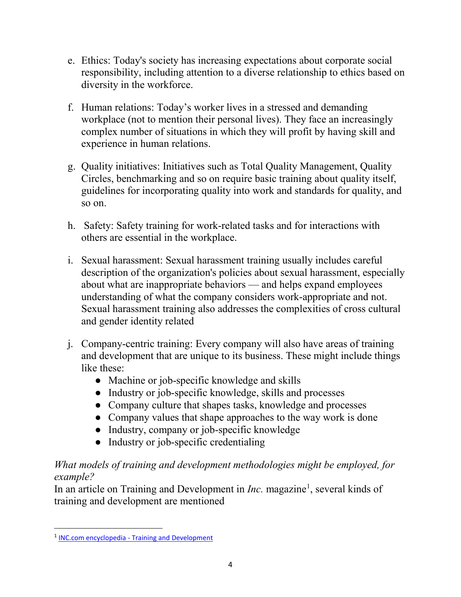- e. Ethics: Today's society has increasing expectations about corporate social responsibility, including attention to a diverse relationship to ethics based on diversity in the workforce.
- f. Human relations: Today's worker lives in a stressed and demanding workplace (not to mention their personal lives). They face an increasingly complex number of situations in which they will profit by having skill and experience in human relations.
- g. Quality initiatives: Initiatives such as Total Quality Management, Quality Circles, benchmarking and so on require basic training about quality itself, guidelines for incorporating quality into work and standards for quality, and so on.
- h. Safety: Safety training for work-related tasks and for interactions with others are essential in the workplace.
- i. Sexual harassment: Sexual harassment training usually includes careful description of the organization's policies about sexual harassment, especially about what are inappropriate behaviors — and helps expand employees understanding of what the company considers work-appropriate and not. Sexual harassment training also addresses the complexities of cross cultural and gender identity related
- j. Company-centric training: Every company will also have areas of training and development that are unique to its business. These might include things like these:
	- Machine or job-specific knowledge and skills
	- Industry or job-specific knowledge, skills and processes
	- Company culture that shapes tasks, knowledge and processes
	- Company values that shape approaches to the way work is done
	- Industry, company or job-specific knowledge
	- Industry or job-specific credentialing

# *What models of training and development methodologies might be employed, for example?*

In an article on Training and Development in *Inc*. magazine<sup>[1](#page-3-0)</sup>, several kinds of training and development are mentioned

 $\overline{\phantom{a}}$ 

<span id="page-3-0"></span><sup>&</sup>lt;sup>1</sup> [INC.com encyclopedia - Training and Development](https://www.inc.com/encyclopedia/training-and-development.html)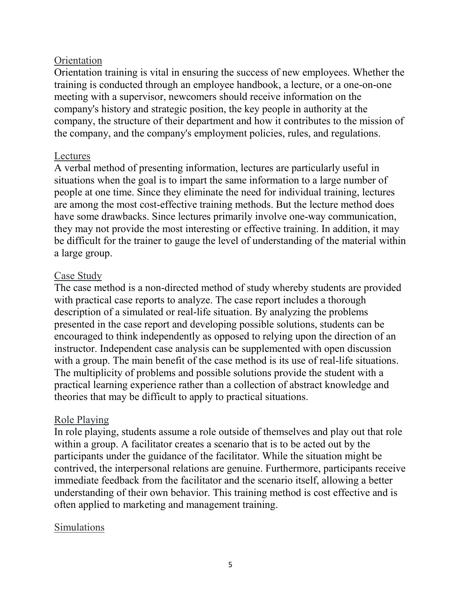#### **Orientation**

Orientation training is vital in ensuring the success of new employees. Whether the training is conducted through an employee handbook, a lecture, or a one-on-one meeting with a supervisor, newcomers should receive information on the company's history and strategic position, the key people in authority at the company, the structure of their department and how it contributes to the mission of the company, and the company's employment policies, rules, and regulations.

#### Lectures

A verbal method of presenting information, lectures are particularly useful in situations when the goal is to impart the same information to a large number of people at one time. Since they eliminate the need for individual training, lectures are among the most cost-effective training methods. But the lecture method does have some drawbacks. Since lectures primarily involve one-way communication, they may not provide the most interesting or effective training. In addition, it may be difficult for the trainer to gauge the level of understanding of the material within a large group.

#### Case Study

The case method is a non-directed method of study whereby students are provided with practical case reports to analyze. The case report includes a thorough description of a simulated or real-life situation. By analyzing the problems presented in the case report and developing possible solutions, students can be encouraged to think independently as opposed to relying upon the direction of an instructor. Independent case analysis can be supplemented with open discussion with a group. The main benefit of the case method is its use of real-life situations. The multiplicity of problems and possible solutions provide the student with a practical learning experience rather than a collection of abstract knowledge and theories that may be difficult to apply to practical situations.

#### Role Playing

In role playing, students assume a role outside of themselves and play out that role within a group. A facilitator creates a scenario that is to be acted out by the participants under the guidance of the facilitator. While the situation might be contrived, the interpersonal relations are genuine. Furthermore, participants receive immediate feedback from the facilitator and the scenario itself, allowing a better understanding of their own behavior. This training method is cost effective and is often applied to marketing and management training.

#### Simulations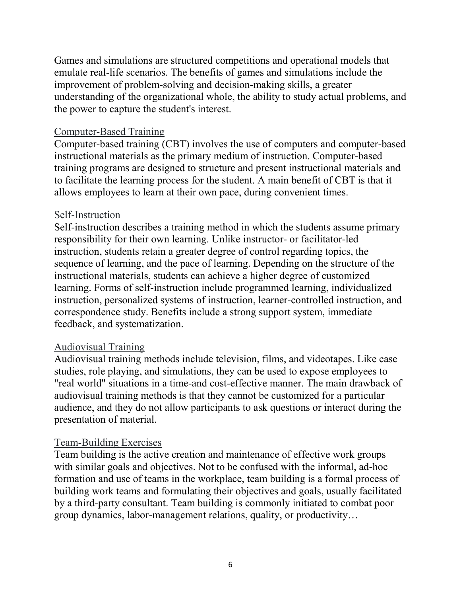Games and simulations are structured competitions and operational models that emulate real-life scenarios. The benefits of games and simulations include the improvement of problem-solving and decision-making skills, a greater understanding of the organizational whole, the ability to study actual problems, and the power to capture the student's interest.

#### Computer-Based Training

Computer-based training (CBT) involves the use of computers and computer-based instructional materials as the primary medium of instruction. Computer-based training programs are designed to structure and present instructional materials and to facilitate the learning process for the student. A main benefit of CBT is that it allows employees to learn at their own pace, during convenient times.

#### Self-Instruction

Self-instruction describes a training method in which the students assume primary responsibility for their own learning. Unlike instructor- or facilitator-led instruction, students retain a greater degree of control regarding topics, the sequence of learning, and the pace of learning. Depending on the structure of the instructional materials, students can achieve a higher degree of customized learning. Forms of self-instruction include programmed learning, individualized instruction, personalized systems of instruction, learner-controlled instruction, and correspondence study. Benefits include a strong support system, immediate feedback, and systematization.

#### Audiovisual Training

Audiovisual training methods include television, films, and videotapes. Like case studies, role playing, and simulations, they can be used to expose employees to "real world" situations in a time-and cost-effective manner. The main drawback of audiovisual training methods is that they cannot be customized for a particular audience, and they do not allow participants to ask questions or interact during the presentation of material.

#### Team-Building Exercises

Team building is the active creation and maintenance of effective work groups with similar goals and objectives. Not to be confused with the informal, ad-hoc formation and use of teams in the workplace, team building is a formal process of building work teams and formulating their objectives and goals, usually facilitated by a third-party consultant. Team building is commonly initiated to combat poor group dynamics, labor-management relations, quality, or productivity…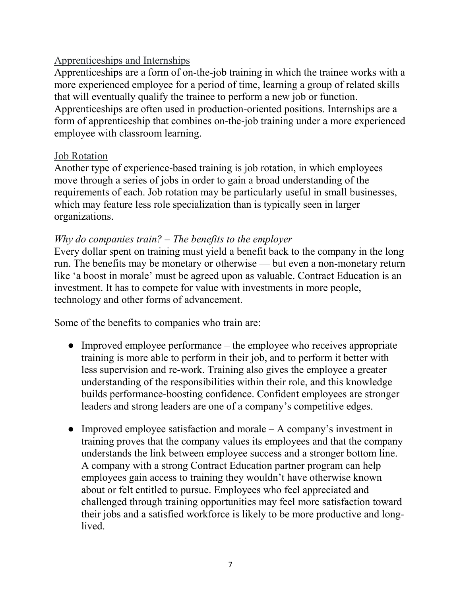# Apprenticeships and Internships

Apprenticeships are a form of on-the-job training in which the trainee works with a more experienced employee for a period of time, learning a group of related skills that will eventually qualify the trainee to perform a new job or function. Apprenticeships are often used in production-oriented positions. Internships are a form of apprenticeship that combines on-the-job training under a more experienced employee with classroom learning.

# Job Rotation

Another type of experience-based training is job rotation, in which employees move through a series of jobs in order to gain a broad understanding of the requirements of each. Job rotation may be particularly useful in small businesses, which may feature less role specialization than is typically seen in larger organizations.

# *Why do companies train? – The benefits to the employer*

Every dollar spent on training must yield a benefit back to the company in the long run. The benefits may be monetary or otherwise — but even a non-monetary return like 'a boost in morale' must be agreed upon as valuable. Contract Education is an investment. It has to compete for value with investments in more people, technology and other forms of advancement.

Some of the benefits to companies who train are:

- Improved employee performance the employee who receives appropriate training is more able to perform in their job, and to perform it better with less supervision and re-work. Training also gives the employee a greater understanding of the responsibilities within their role, and this knowledge builds performance-boosting confidence. Confident employees are stronger leaders and strong leaders are one of a company's competitive edges.
- Improved employee satisfaction and morale  $A$  company's investment in training proves that the company values its employees and that the company understands the link between employee success and a stronger bottom line. A company with a strong Contract Education partner program can help employees gain access to training they wouldn't have otherwise known about or felt entitled to pursue. Employees who feel appreciated and challenged through training opportunities may feel more satisfaction toward their jobs and a satisfied workforce is likely to be more productive and longlived.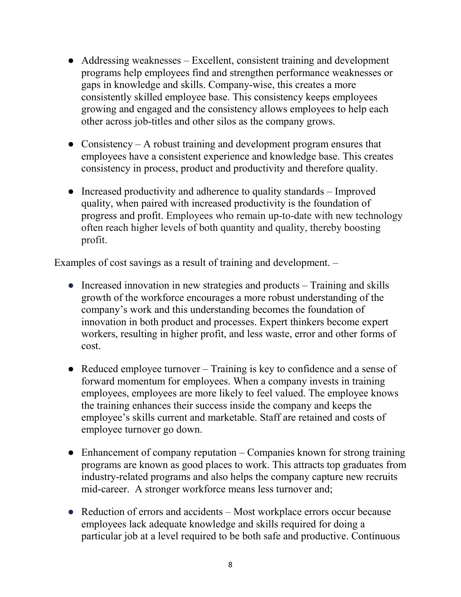- Addressing weaknesses Excellent, consistent training and development programs help employees find and strengthen performance weaknesses or gaps in knowledge and skills. Company-wise, this creates a more consistently skilled employee base. This consistency keeps employees growing and engaged and the consistency allows employees to help each other across job-titles and other silos as the company grows.
- Consistency A robust training and development program ensures that employees have a consistent experience and knowledge base. This creates consistency in process, product and productivity and therefore quality.
- Increased productivity and adherence to quality standards Improved quality, when paired with increased productivity is the foundation of progress and profit. Employees who remain up-to-date with new technology often reach higher levels of both quantity and quality, thereby boosting profit.

Examples of cost savings as a result of training and development. –

- Increased innovation in new strategies and products Training and skills growth of the workforce encourages a more robust understanding of the company's work and this understanding becomes the foundation of innovation in both product and processes. Expert thinkers become expert workers, resulting in higher profit, and less waste, error and other forms of cost.
- Reduced employee turnover Training is key to confidence and a sense of forward momentum for employees. When a company invests in training employees, employees are more likely to feel valued. The employee knows the training enhances their success inside the company and keeps the employee's skills current and marketable. Staff are retained and costs of employee turnover go down.
- $\bullet$  Enhancement of company reputation Companies known for strong training programs are known as good places to work. This attracts top graduates from industry-related programs and also helps the company capture new recruits mid-career. A stronger workforce means less turnover and;
- Reduction of errors and accidents Most workplace errors occur because employees lack adequate knowledge and skills required for doing a particular job at a level required to be both safe and productive. Continuous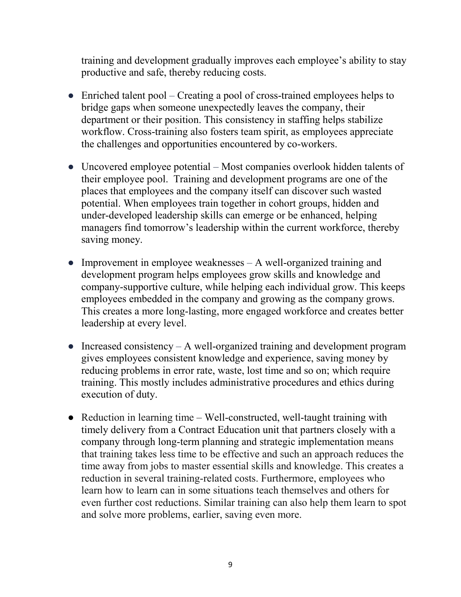training and development gradually improves each employee's ability to stay productive and safe, thereby reducing costs.

- Enriched talent pool Creating a pool of cross-trained employees helps to bridge gaps when someone unexpectedly leaves the company, their department or their position. This consistency in staffing helps stabilize workflow. Cross-training also fosters team spirit, as employees appreciate the challenges and opportunities encountered by co-workers.
- Uncovered employee potential Most companies overlook hidden talents of their employee pool. Training and development programs are one of the places that employees and the company itself can discover such wasted potential. When employees train together in cohort groups, hidden and under-developed leadership skills can emerge or be enhanced, helping managers find tomorrow's leadership within the current workforce, thereby saving money.
- Improvement in employee weaknesses  $A$  well-organized training and development program helps employees grow skills and knowledge and company-supportive culture, while helping each individual grow. This keeps employees embedded in the company and growing as the company grows. This creates a more long-lasting, more engaged workforce and creates better leadership at every level.
- Increased consistency  $-A$  well-organized training and development program gives employees consistent knowledge and experience, saving money by reducing problems in error rate, waste, lost time and so on; which require training. This mostly includes administrative procedures and ethics during execution of duty.
- Reduction in learning time Well-constructed, well-taught training with timely delivery from a Contract Education unit that partners closely with a company through long-term planning and strategic implementation means that training takes less time to be effective and such an approach reduces the time away from jobs to master essential skills and knowledge. This creates a reduction in several training-related costs. Furthermore, employees who learn how to learn can in some situations teach themselves and others for even further cost reductions. Similar training can also help them learn to spot and solve more problems, earlier, saving even more.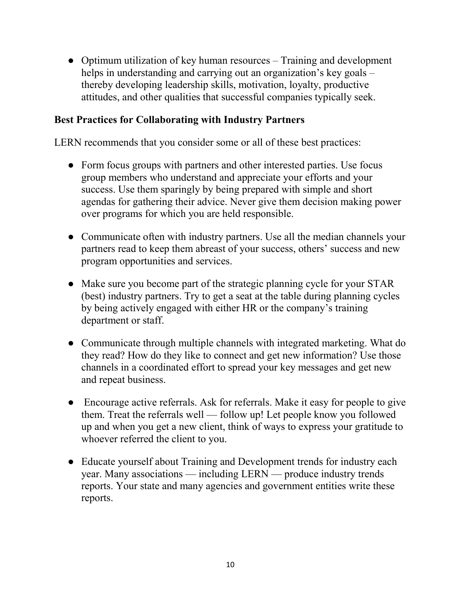• Optimum utilization of key human resources – Training and development helps in understanding and carrying out an organization's key goals – thereby developing leadership skills, motivation, loyalty, productive attitudes, and other qualities that successful companies typically seek.

# **Best Practices for Collaborating with Industry Partners**

LERN recommends that you consider some or all of these best practices:

- Form focus groups with partners and other interested parties. Use focus group members who understand and appreciate your efforts and your success. Use them sparingly by being prepared with simple and short agendas for gathering their advice. Never give them decision making power over programs for which you are held responsible.
- Communicate often with industry partners. Use all the median channels your partners read to keep them abreast of your success, others' success and new program opportunities and services.
- Make sure you become part of the strategic planning cycle for your STAR (best) industry partners. Try to get a seat at the table during planning cycles by being actively engaged with either HR or the company's training department or staff.
- Communicate through multiple channels with integrated marketing. What do they read? How do they like to connect and get new information? Use those channels in a coordinated effort to spread your key messages and get new and repeat business.
- Encourage active referrals. Ask for referrals. Make it easy for people to give them. Treat the referrals well — follow up! Let people know you followed up and when you get a new client, think of ways to express your gratitude to whoever referred the client to you.
- Educate yourself about Training and Development trends for industry each year. Many associations — including LERN — produce industry trends reports. Your state and many agencies and government entities write these reports.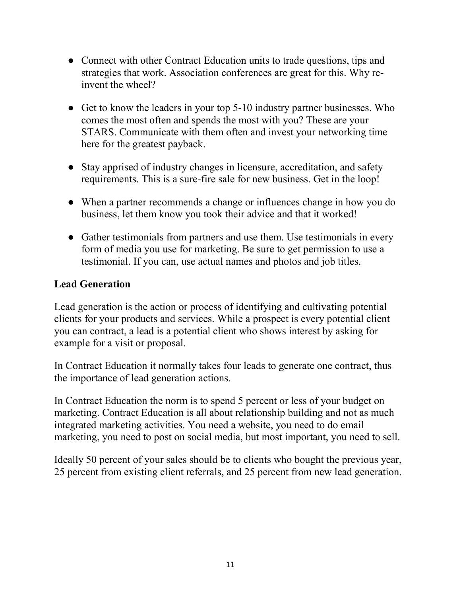- Connect with other Contract Education units to trade questions, tips and strategies that work. Association conferences are great for this. Why reinvent the wheel?
- Get to know the leaders in your top 5-10 industry partner businesses. Who comes the most often and spends the most with you? These are your STARS. Communicate with them often and invest your networking time here for the greatest payback.
- Stay apprised of industry changes in licensure, accreditation, and safety requirements. This is a sure-fire sale for new business. Get in the loop!
- When a partner recommends a change or influences change in how you do business, let them know you took their advice and that it worked!
- Gather testimonials from partners and use them. Use testimonials in every form of media you use for marketing. Be sure to get permission to use a testimonial. If you can, use actual names and photos and job titles.

# **Lead Generation**

Lead generation is the action or process of identifying and cultivating potential clients for your products and services. While a prospect is every potential client you can contract, a lead is a potential client who shows interest by asking for example for a visit or proposal.

In Contract Education it normally takes four leads to generate one contract, thus the importance of lead generation actions.

In Contract Education the norm is to spend 5 percent or less of your budget on marketing. Contract Education is all about relationship building and not as much integrated marketing activities. You need a website, you need to do email marketing, you need to post on social media, but most important, you need to sell.

Ideally 50 percent of your sales should be to clients who bought the previous year, 25 percent from existing client referrals, and 25 percent from new lead generation.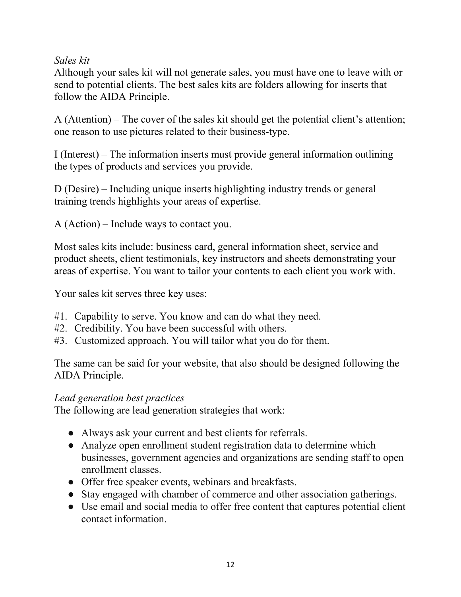# *Sales kit*

Although your sales kit will not generate sales, you must have one to leave with or send to potential clients. The best sales kits are folders allowing for inserts that follow the AIDA Principle.

A (Attention) – The cover of the sales kit should get the potential client's attention; one reason to use pictures related to their business-type.

I (Interest) – The information inserts must provide general information outlining the types of products and services you provide.

D (Desire) – Including unique inserts highlighting industry trends or general training trends highlights your areas of expertise.

A (Action) – Include ways to contact you.

Most sales kits include: business card, general information sheet, service and product sheets, client testimonials, key instructors and sheets demonstrating your areas of expertise. You want to tailor your contents to each client you work with.

Your sales kit serves three key uses:

- #1. Capability to serve. You know and can do what they need.
- #2. Credibility. You have been successful with others.
- #3. Customized approach. You will tailor what you do for them.

The same can be said for your website, that also should be designed following the AIDA Principle.

#### *Lead generation best practices*

The following are lead generation strategies that work:

- Always ask your current and best clients for referrals.
- Analyze open enrollment student registration data to determine which businesses, government agencies and organizations are sending staff to open enrollment classes.
- Offer free speaker events, webinars and breakfasts.
- Stay engaged with chamber of commerce and other association gatherings.
- Use email and social media to offer free content that captures potential client contact information.